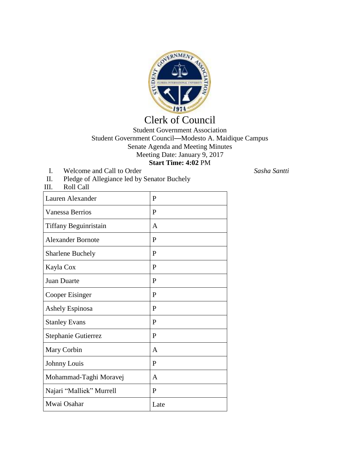

## Clerk of Council

Student Government Association Student Government Council—Modesto A. Maidique Campus Senate Agenda and Meeting Minutes Meeting Date: January 9, 2017 **Start Time: 4:02** PM

- I. Welcome and Call to Order *Sasha Santti*
- II. Pledge of Allegiance led by Senator Buchely

| III.<br>Roll Call        |      |
|--------------------------|------|
| Lauren Alexander         | P    |
| <b>Vanessa Berrios</b>   | P    |
| Tiffany Beguinristain    | A    |
| <b>Alexander Bornote</b> | P    |
| <b>Sharlene Buchely</b>  | P    |
| Kayla Cox                | P    |
| <b>Juan Duarte</b>       | P    |
| Cooper Eisinger          | P    |
| <b>Ashely Espinosa</b>   | P    |
| <b>Stanley Evans</b>     | P    |
| Stephanie Gutierrez      | P    |
| Mary Corbin              | A    |
| Johnny Louis             | P    |
| Mohammad-Taghi Moravej   | A    |
| Najari "Malliek" Murrell | P    |
| Mwai Osahar              | Late |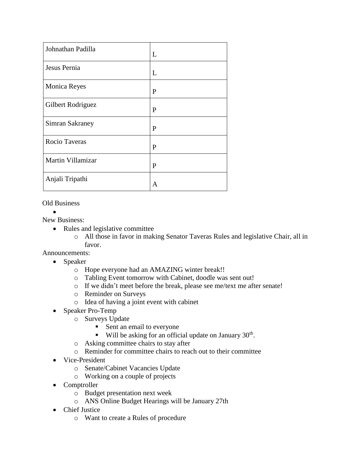| Johnathan Padilla   | L |
|---------------------|---|
| Jesus Pernia        | L |
| <b>Monica Reyes</b> | P |
| Gilbert Rodriguez   | P |
| Simran Sakraney     | P |
| Rocio Taveras       | P |
| Martin Villamizar   | P |
| Anjali Tripathi     | A |

Old Business

 $\bullet$ 

New Business:

- Rules and legislative committee
	- o All those in favor in making Senator Taveras Rules and legislative Chair, all in favor.

Announcements:

- Speaker
	- o Hope everyone had an AMAZING winter break!!
	- o Tabling Event tomorrow with Cabinet, doodle was sent out!
	- o If we didn't meet before the break, please see me/text me after senate!
	- o Reminder on Surveys
	- o Idea of having a joint event with cabinet
- Speaker Pro-Temp
	- o Surveys Update
		- Sent an email to everyone
		- $\blacksquare$  Will be asking for an official update on January 30<sup>th</sup>.
	- o Asking committee chairs to stay after
	- o Reminder for committee chairs to reach out to their committee
- Vice-President
	- o Senate/Cabinet Vacancies Update
	- o Working on a couple of projects
- Comptroller
	- o Budget presentation next week
	- o ANS Online Budget Hearings will be January 27th
- Chief Justice
	- o Want to create a Rules of procedure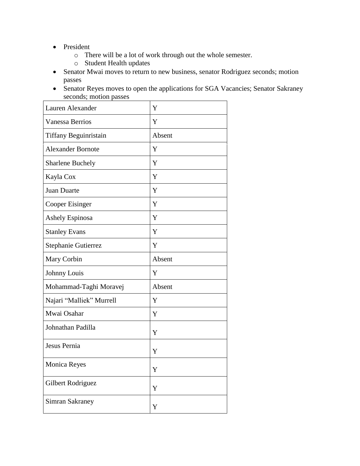- President
	- o There will be a lot of work through out the whole semester.
	- o Student Health updates
- Senator Mwai moves to return to new business, senator Rodriguez seconds; motion passes
- Senator Reyes moves to open the applications for SGA Vacancies; Senator Sakraney seconds; motion passes

| Lauren Alexander         | Y      |
|--------------------------|--------|
| Vanessa Berrios          | Y      |
| Tiffany Beguinristain    | Absent |
| <b>Alexander Bornote</b> | Y      |
| <b>Sharlene Buchely</b>  | Y      |
| Kayla Cox                | Y      |
| Juan Duarte              | Y      |
| Cooper Eisinger          | Y      |
| Ashely Espinosa          | Y      |
| <b>Stanley Evans</b>     | Y      |
| Stephanie Gutierrez      | Y      |
| Mary Corbin              | Absent |
| Johnny Louis             | Y      |
| Mohammad-Taghi Moravej   | Absent |
| Najari "Malliek" Murrell | Y      |
| Mwai Osahar              | Y      |
| Johnathan Padilla        | Y      |
| Jesus Pernia             | Y      |
| Monica Reyes             | Y      |
| Gilbert Rodriguez        | Y      |
| Simran Sakraney          | Y      |